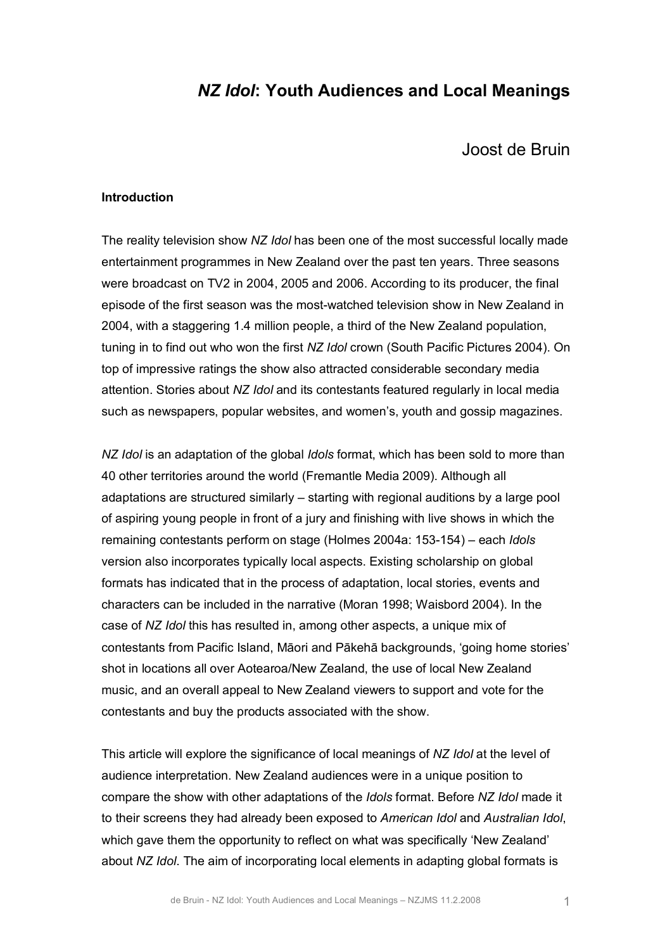# *NZ Idol***: Youth Audiences and Local Meanings**

Joost de Bruin

#### **Introduction**

The reality television show *NZ Idol* has been one of the most successful locally made entertainment programmes in New Zealand over the past ten years. Three seasons were broadcast on TV2 in 2004, 2005 and 2006. According to its producer, the final episode of the first season was the most-watched television show in New Zealand in 2004, with a staggering 1.4 million people, a third of the New Zealand population, tuning in to find out who won the first *NZ Idol* crown (South Pacific Pictures 2004). On top of impressive ratings the show also attracted considerable secondary media attention. Stories about *NZ Idol* and its contestants featured regularly in local media such as newspapers, popular websites, and women's, youth and gossip magazines.

*NZ Idol* is an adaptation of the global *Idols* format, which has been sold to more than 40 other territories around the world (Fremantle Media 2009). Although all adaptations are structured similarly – starting with regional auditions by a large pool of aspiring young people in front of a jury and finishing with live shows in which the remaining contestants perform on stage (Holmes 2004a: 153-154) – each *Idols* version also incorporates typically local aspects. Existing scholarship on global formats has indicated that in the process of adaptation, local stories, events and characters can be included in the narrative (Moran 1998; Waisbord 2004). In the case of *NZ Idol* this has resulted in, among other aspects, a unique mix of contestants from Pacific Island, Māori and Pākehā backgrounds, 'going home stories' shot in locations all over Aotearoa/New Zealand, the use of local New Zealand music, and an overall appeal to New Zealand viewers to support and vote for the contestants and buy the products associated with the show.

This article will explore the significance of local meanings of *NZ Idol* at the level of audience interpretation. New Zealand audiences were in a unique position to compare the show with other adaptations of the *Idols* format. Before *NZ Idol* made it to their screens they had already been exposed to *American Idol* and *Australian Idol*, which gave them the opportunity to reflect on what was specifically 'New Zealand' about *NZ Idol*. The aim of incorporating local elements in adapting global formats is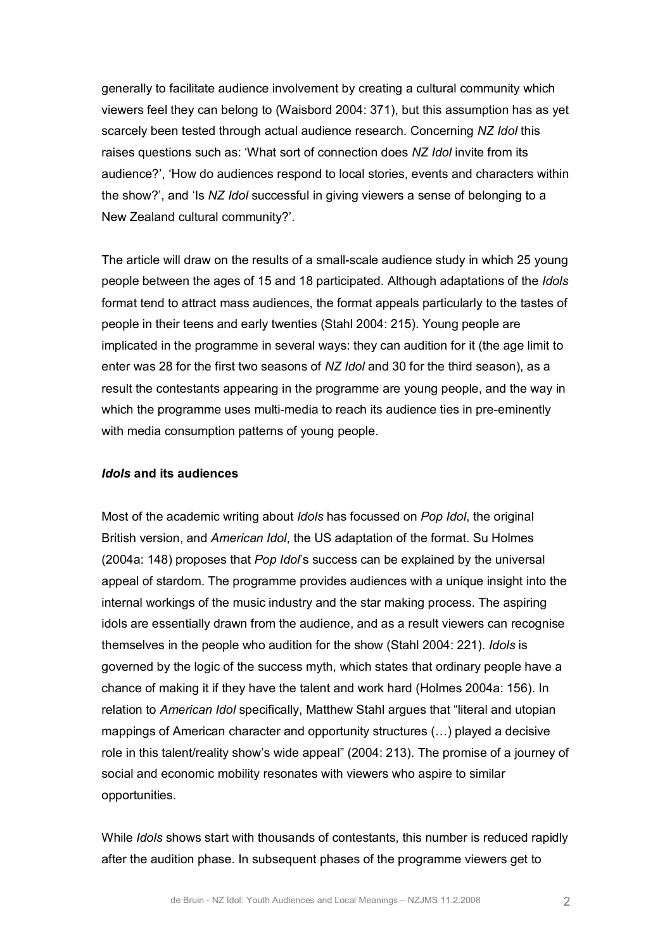generally to facilitate audience involvement by creating a cultural community which viewers feel they can belong to (Waisbord 2004: 371), but this assumption has as yet scarcely been tested through actual audience research. Concerning *NZ Idol* this raises questions such as: 'What sort of connection does *NZ Idol* invite from its audience?', 'How do audiences respond to local stories, events and characters within the show?', and 'Is *NZ Idol* successful in giving viewers a sense of belonging to a New Zealand cultural community?'.

The article will draw on the results of a small-scale audience study in which 25 young people between the ages of 15 and 18 participated. Although adaptations of the *Idols* format tend to attract mass audiences, the format appeals particularly to the tastes of people in their teens and early twenties (Stahl 2004: 215). Young people are implicated in the programme in several ways: they can audition for it (the age limit to enter was 28 for the first two seasons of *NZ Idol* and 30 for the third season), as a result the contestants appearing in the programme are young people, and the way in which the programme uses multi-media to reach its audience ties in pre-eminently with media consumption patterns of young people.

#### *Idols* **and its audiences**

Most of the academic writing about *Idols* has focussed on *Pop Idol*, the original British version, and *American Idol*, the US adaptation of the format. Su Holmes (2004a: 148) proposes that *Pop Idol*'s success can be explained by the universal appeal of stardom. The programme provides audiences with a unique insight into the internal workings of the music industry and the star making process. The aspiring idols are essentially drawn from the audience, and as a result viewers can recognise themselves in the people who audition for the show (Stahl 2004: 221). *Idols* is governed by the logic of the success myth, which states that ordinary people have a chance of making it if they have the talent and work hard (Holmes 2004a: 156). In relation to *American Idol* specifically, Matthew Stahl argues that "literal and utopian mappings of American character and opportunity structures (…) played a decisive role in this talent/reality show's wide appeal" (2004: 213). The promise of a journey of social and economic mobility resonates with viewers who aspire to similar opportunities.

While *Idols* shows start with thousands of contestants, this number is reduced rapidly after the audition phase. In subsequent phases of the programme viewers get to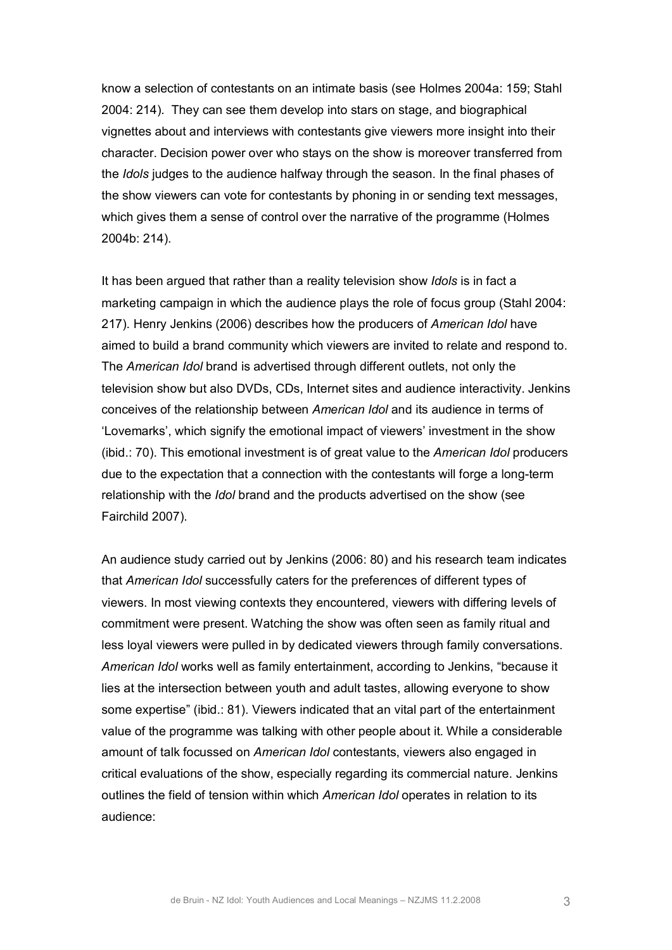know a selection of contestants on an intimate basis (see Holmes 2004a: 159; Stahl 2004: 214). They can see them develop into stars on stage, and biographical vignettes about and interviews with contestants give viewers more insight into their character. Decision power over who stays on the show is moreover transferred from the *Idols* judges to the audience halfway through the season. In the final phases of the show viewers can vote for contestants by phoning in or sending text messages, which gives them a sense of control over the narrative of the programme (Holmes 2004b: 214).

It has been argued that rather than a reality television show *Idols* is in fact a marketing campaign in which the audience plays the role of focus group (Stahl 2004: 217). Henry Jenkins (2006) describes how the producers of *American Idol* have aimed to build a brand community which viewers are invited to relate and respond to. The *American Idol* brand is advertised through different outlets, not only the television show but also DVDs, CDs, Internet sites and audience interactivity. Jenkins conceives of the relationship between *American Idol* and its audience in terms of 'Lovemarks', which signify the emotional impact of viewers' investment in the show (ibid.: 70). This emotional investment is of great value to the *American Idol* producers due to the expectation that a connection with the contestants will forge a long-term relationship with the *Idol* brand and the products advertised on the show (see Fairchild 2007).

An audience study carried out by Jenkins (2006: 80) and his research team indicates that *American Idol* successfully caters for the preferences of different types of viewers. In most viewing contexts they encountered, viewers with differing levels of commitment were present. Watching the show was often seen as family ritual and less loyal viewers were pulled in by dedicated viewers through family conversations. *American Idol* works well as family entertainment, according to Jenkins, "because it lies at the intersection between youth and adult tastes, allowing everyone to show some expertise" (ibid.: 81). Viewers indicated that an vital part of the entertainment value of the programme was talking with other people about it. While a considerable amount of talk focussed on *American Idol* contestants, viewers also engaged in critical evaluations of the show, especially regarding its commercial nature. Jenkins outlines the field of tension within which *American Idol* operates in relation to its audience: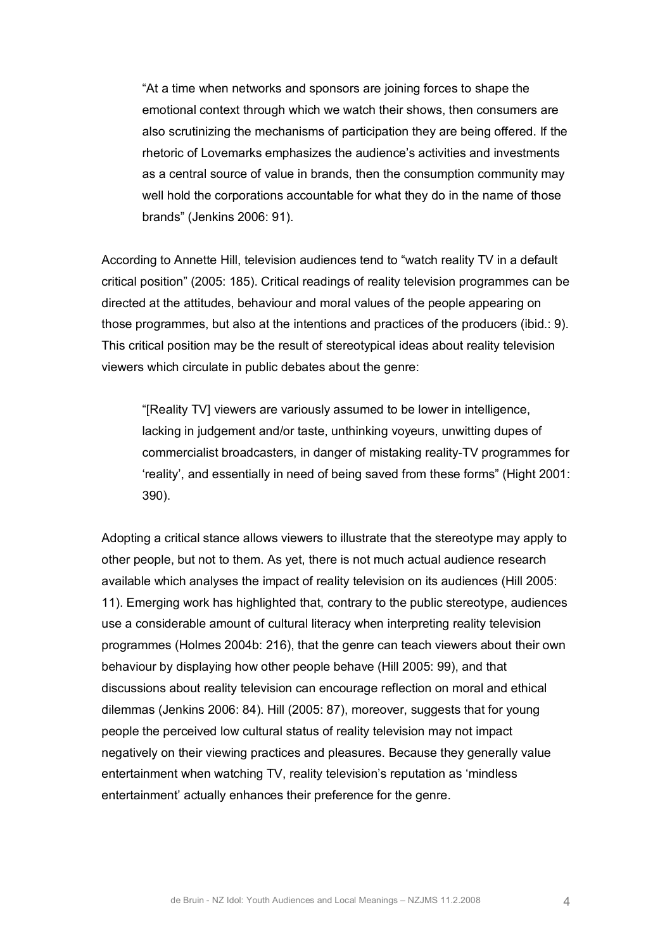"At a time when networks and sponsors are joining forces to shape the emotional context through which we watch their shows, then consumers are also scrutinizing the mechanisms of participation they are being offered. If the rhetoric of Lovemarks emphasizes the audience's activities and investments as a central source of value in brands, then the consumption community may well hold the corporations accountable for what they do in the name of those brands" (Jenkins 2006: 91).

According to Annette Hill, television audiences tend to "watch reality TV in a default critical position" (2005: 185). Critical readings of reality television programmes can be directed at the attitudes, behaviour and moral values of the people appearing on those programmes, but also at the intentions and practices of the producers (ibid.: 9). This critical position may be the result of stereotypical ideas about reality television viewers which circulate in public debates about the genre:

"[Reality TV] viewers are variously assumed to be lower in intelligence, lacking in judgement and/or taste, unthinking voyeurs, unwitting dupes of commercialist broadcasters, in danger of mistaking reality-TV programmes for 'reality', and essentially in need of being saved from these forms" (Hight 2001: 390).

Adopting a critical stance allows viewers to illustrate that the stereotype may apply to other people, but not to them. As yet, there is not much actual audience research available which analyses the impact of reality television on its audiences (Hill 2005: 11). Emerging work has highlighted that, contrary to the public stereotype, audiences use a considerable amount of cultural literacy when interpreting reality television programmes (Holmes 2004b: 216), that the genre can teach viewers about their own behaviour by displaying how other people behave (Hill 2005: 99), and that discussions about reality television can encourage reflection on moral and ethical dilemmas (Jenkins 2006: 84). Hill (2005: 87), moreover, suggests that for young people the perceived low cultural status of reality television may not impact negatively on their viewing practices and pleasures. Because they generally value entertainment when watching TV, reality television's reputation as 'mindless entertainment' actually enhances their preference for the genre.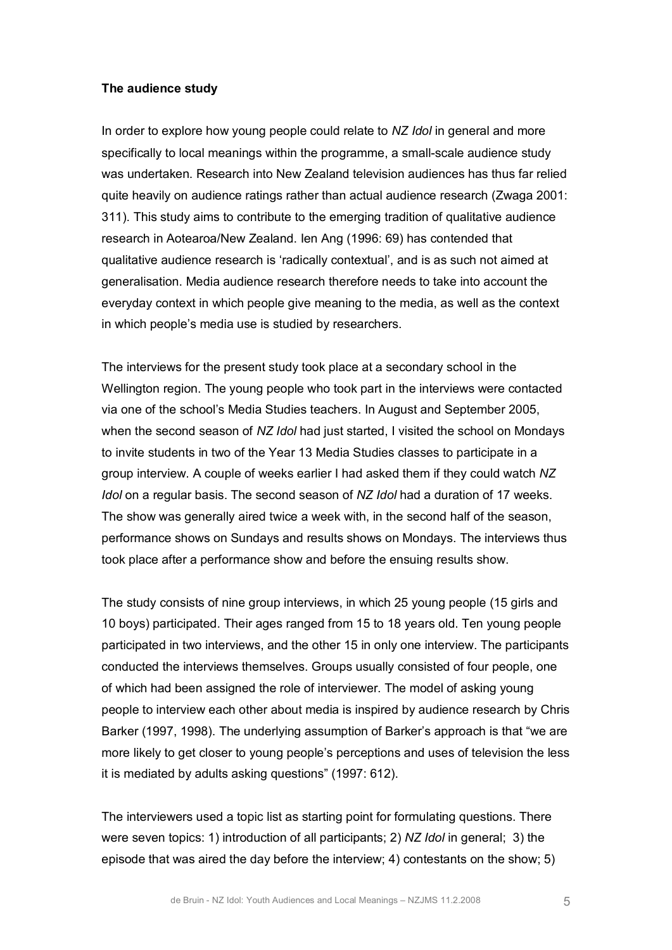#### **The audience study**

In order to explore how young people could relate to *NZ Idol* in general and more specifically to local meanings within the programme, a small-scale audience study was undertaken. Research into New Zealand television audiences has thus far relied quite heavily on audience ratings rather than actual audience research (Zwaga 2001: 311). This study aims to contribute to the emerging tradition of qualitative audience research in Aotearoa/New Zealand. Ien Ang (1996: 69) has contended that qualitative audience research is 'radically contextual', and is as such not aimed at generalisation. Media audience research therefore needs to take into account the everyday context in which people give meaning to the media, as well as the context in which people's media use is studied by researchers.

The interviews for the present study took place at a secondary school in the Wellington region. The young people who took part in the interviews were contacted via one of the school's Media Studies teachers. In August and September 2005, when the second season of *NZ Idol* had just started, I visited the school on Mondays to invite students in two of the Year 13 Media Studies classes to participate in a group interview. A couple of weeks earlier I had asked them if they could watch *NZ Idol* on a regular basis. The second season of *NZ Idol* had a duration of 17 weeks. The show was generally aired twice a week with, in the second half of the season, performance shows on Sundays and results shows on Mondays. The interviews thus took place after a performance show and before the ensuing results show.

The study consists of nine group interviews, in which 25 young people (15 girls and 10 boys) participated. Their ages ranged from 15 to 18 years old. Ten young people participated in two interviews, and the other 15 in only one interview. The participants conducted the interviews themselves. Groups usually consisted of four people, one of which had been assigned the role of interviewer. The model of asking young people to interview each other about media is inspired by audience research by Chris Barker (1997, 1998). The underlying assumption of Barker's approach is that "we are more likely to get closer to young people's perceptions and uses of television the less it is mediated by adults asking questions" (1997: 612).

The interviewers used a topic list as starting point for formulating questions. There were seven topics: 1) introduction of all participants; 2) *NZ Idol* in general; 3) the episode that was aired the day before the interview; 4) contestants on the show; 5)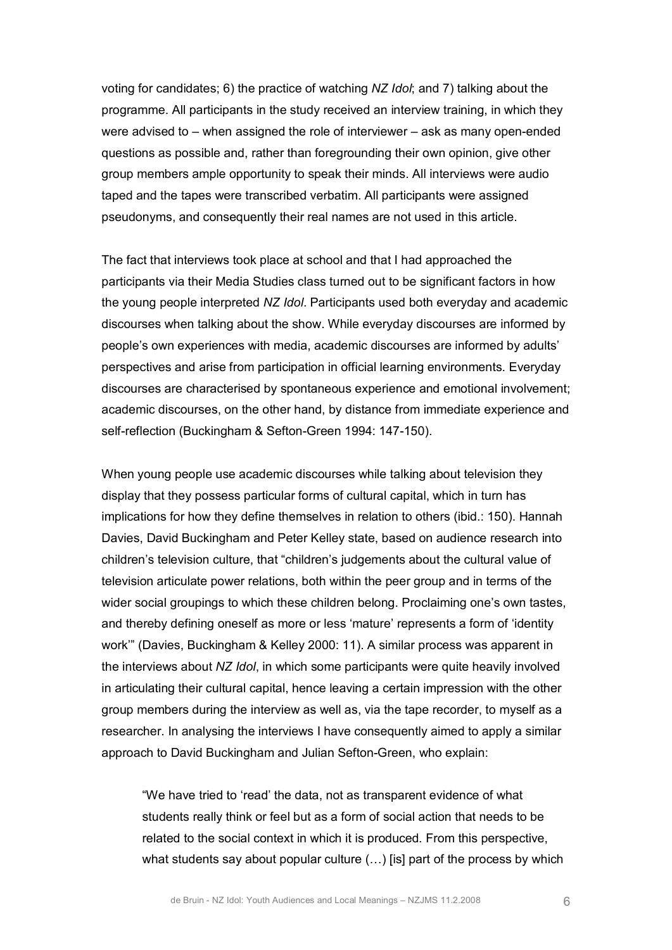voting for candidates; 6) the practice of watching *NZ Idol*; and 7) talking about the programme. All participants in the study received an interview training, in which they were advised to  $-$  when assigned the role of interviewer  $-$  ask as many open-ended questions as possible and, rather than foregrounding their own opinion, give other group members ample opportunity to speak their minds. All interviews were audio taped and the tapes were transcribed verbatim. All participants were assigned pseudonyms, and consequently their real names are not used in this article.

The fact that interviews took place at school and that I had approached the participants via their Media Studies class turned out to be significant factors in how the young people interpreted *NZ Idol*. Participants used both everyday and academic discourses when talking about the show. While everyday discourses are informed by people's own experiences with media, academic discourses are informed by adults' perspectives and arise from participation in official learning environments. Everyday discourses are characterised by spontaneous experience and emotional involvement; academic discourses, on the other hand, by distance from immediate experience and self-reflection (Buckingham & Sefton-Green 1994: 147-150).

When young people use academic discourses while talking about television they display that they possess particular forms of cultural capital, which in turn has implications for how they define themselves in relation to others (ibid.: 150). Hannah Davies, David Buckingham and Peter Kelley state, based on audience research into children's television culture, that "children's judgements about the cultural value of television articulate power relations, both within the peer group and in terms of the wider social groupings to which these children belong. Proclaiming one's own tastes, and thereby defining oneself as more or less 'mature' represents a form of 'identity work'" (Davies, Buckingham & Kelley 2000: 11). A similar process was apparent in the interviews about *NZ Idol*, in which some participants were quite heavily involved in articulating their cultural capital, hence leaving a certain impression with the other group members during the interview as well as, via the tape recorder, to myself as a researcher. In analysing the interviews I have consequently aimed to apply a similar approach to David Buckingham and Julian Sefton-Green, who explain:

"We have tried to 'read' the data, not as transparent evidence of what students really think or feel but as a form of social action that needs to be related to the social context in which it is produced. From this perspective, what students say about popular culture  $(...)$  [is] part of the process by which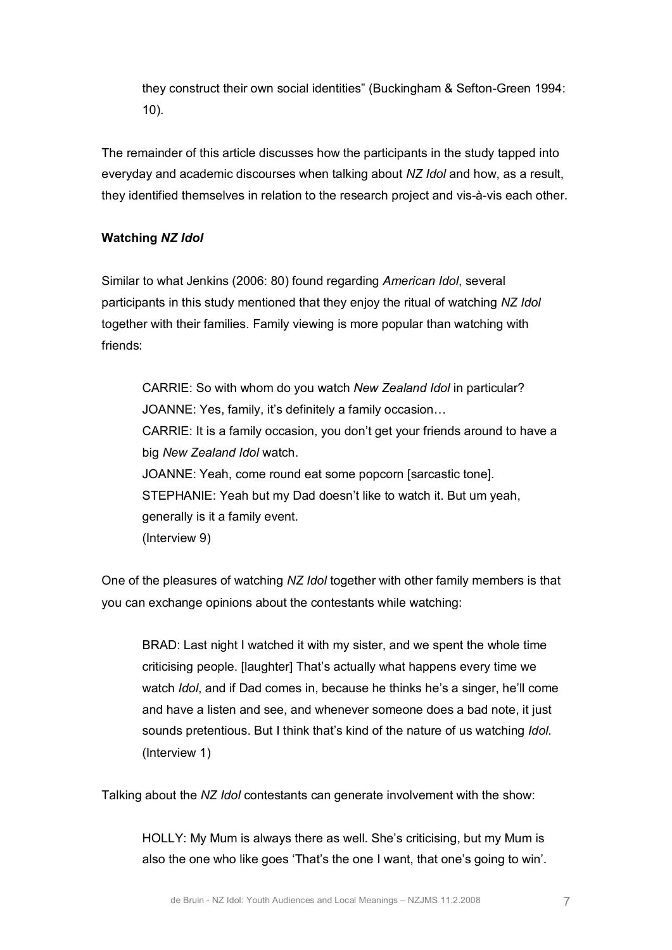they construct their own social identities" (Buckingham & Sefton-Green 1994: 10).

The remainder of this article discusses how the participants in the study tapped into everyday and academic discourses when talking about *NZ Idol* and how, as a result, they identified themselves in relation to the research project and vis-à-vis each other.

# **Watching** *NZ Idol*

Similar to what Jenkins (2006: 80) found regarding *American Idol*, several participants in this study mentioned that they enjoy the ritual of watching *NZ Idol* together with their families. Family viewing is more popular than watching with friends:

CARRIE: So with whom do you watch *New Zealand Idol* in particular? JOANNE: Yes, family, it's definitely a family occasion… CARRIE: It is a family occasion, you don't get your friends around to have a big *New Zealand Idol* watch. JOANNE: Yeah, come round eat some popcorn [sarcastic tone]. STEPHANIE: Yeah but my Dad doesn't like to watch it. But um yeah, generally is it a family event. (Interview 9)

One of the pleasures of watching *NZ Idol* together with other family members is that you can exchange opinions about the contestants while watching:

BRAD: Last night I watched it with my sister, and we spent the whole time criticising people. [laughter] That's actually what happens every time we watch *Idol*, and if Dad comes in, because he thinks he's a singer, he'll come and have a listen and see, and whenever someone does a bad note, it just sounds pretentious. But I think that's kind of the nature of us watching *Idol*. (Interview 1)

Talking about the *NZ Idol* contestants can generate involvement with the show:

HOLLY: My Mum is always there as well. She's criticising, but my Mum is also the one who like goes 'That's the one I want, that one's going to win'.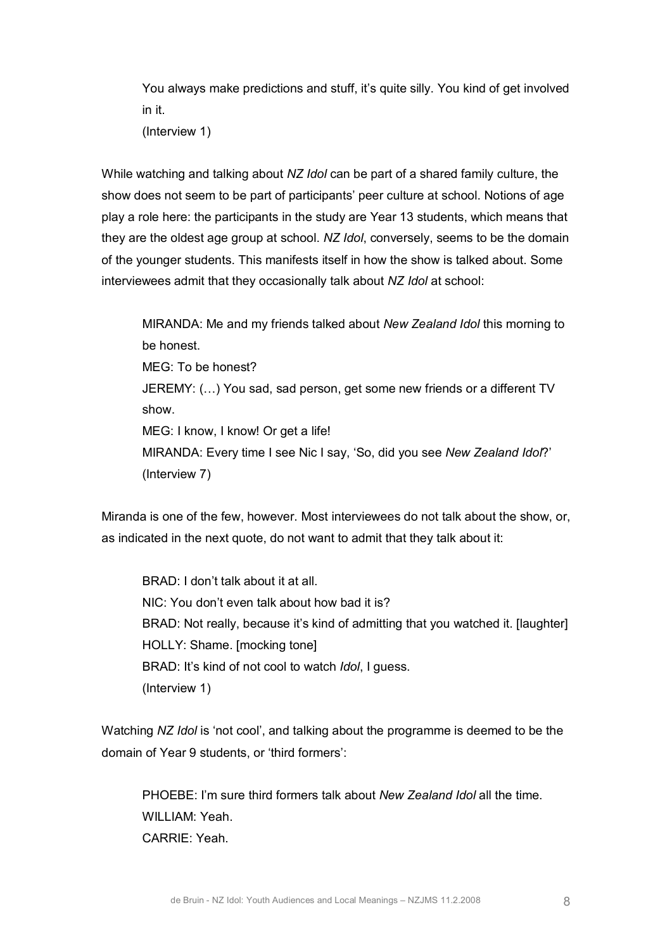You always make predictions and stuff, it's quite silly. You kind of get involved in it.

(Interview 1)

While watching and talking about *NZ Idol* can be part of a shared family culture, the show does not seem to be part of participants' peer culture at school. Notions of age play a role here: the participants in the study are Year 13 students, which means that they are the oldest age group at school. *NZ Idol*, conversely, seems to be the domain of the younger students. This manifests itself in how the show is talked about. Some interviewees admit that they occasionally talk about *NZ Idol* at school:

MIRANDA: Me and my friends talked about *New Zealand Idol* this morning to be honest. MEG: To be honest? JEREMY: (…) You sad, sad person, get some new friends or a different TV show. MEG: I know, I know! Or get a life! MIRANDA: Every time I see Nic I say, 'So, did you see *New Zealand Idol*?' (Interview 7)

Miranda is one of the few, however. Most interviewees do not talk about the show, or, as indicated in the next quote, do not want to admit that they talk about it:

BRAD: I don't talk about it at all. NIC: You don't even talk about how bad it is? BRAD: Not really, because it's kind of admitting that you watched it. [laughter] HOLLY: Shame. [mocking tone] BRAD: It's kind of not cool to watch *Idol*, I guess. (Interview 1)

Watching *NZ Idol* is 'not cool', and talking about the programme is deemed to be the domain of Year 9 students, or 'third formers':

PHOEBE: I'm sure third formers talk about *New Zealand Idol* all the time. WILLIAM: Yeah. CARRIE: Yeah.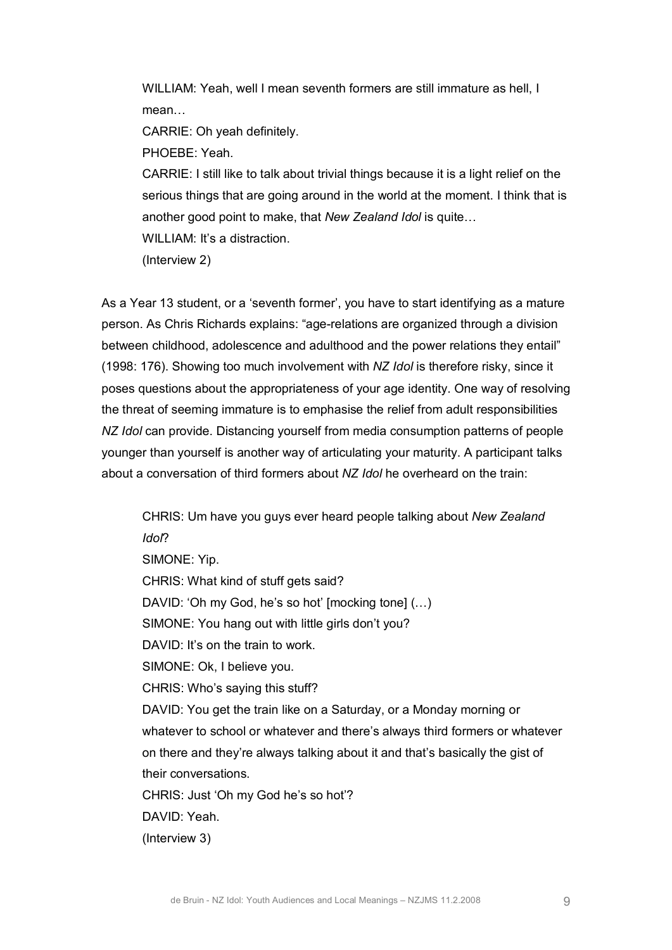WILLIAM: Yeah, well I mean seventh formers are still immature as hell, I mean…

CARRIE: Oh yeah definitely.

PHOEBE: Yeah.

CARRIE: I still like to talk about trivial things because it is a light relief on the serious things that are going around in the world at the moment. I think that is another good point to make, that *New Zealand Idol* is quite…

WILLIAM: It's a distraction.

(Interview 2)

As a Year 13 student, or a 'seventh former', you have to start identifying as a mature person. As Chris Richards explains: "age-relations are organized through a division between childhood, adolescence and adulthood and the power relations they entail" (1998: 176). Showing too much involvement with *NZ Idol* is therefore risky, since it poses questions about the appropriateness of your age identity. One way of resolving the threat of seeming immature is to emphasise the relief from adult responsibilities *NZ Idol* can provide. Distancing yourself from media consumption patterns of people younger than yourself is another way of articulating your maturity. A participant talks about a conversation of third formers about *NZ Idol* he overheard on the train:

CHRIS: Um have you guys ever heard people talking about *New Zealand Idol*? SIMONE: Yip. CHRIS: What kind of stuff gets said? DAVID: 'Oh my God, he's so hot' [mocking tone] (…) SIMONE: You hang out with little girls don't you? DAVID: It's on the train to work. SIMONE: Ok, I believe you. CHRIS: Who's saying this stuff? DAVID: You get the train like on a Saturday, or a Monday morning or whatever to school or whatever and there's always third formers or whatever on there and they're always talking about it and that's basically the gist of their conversations. CHRIS: Just 'Oh my God he's so hot'? DAVID: Yeah. (Interview 3)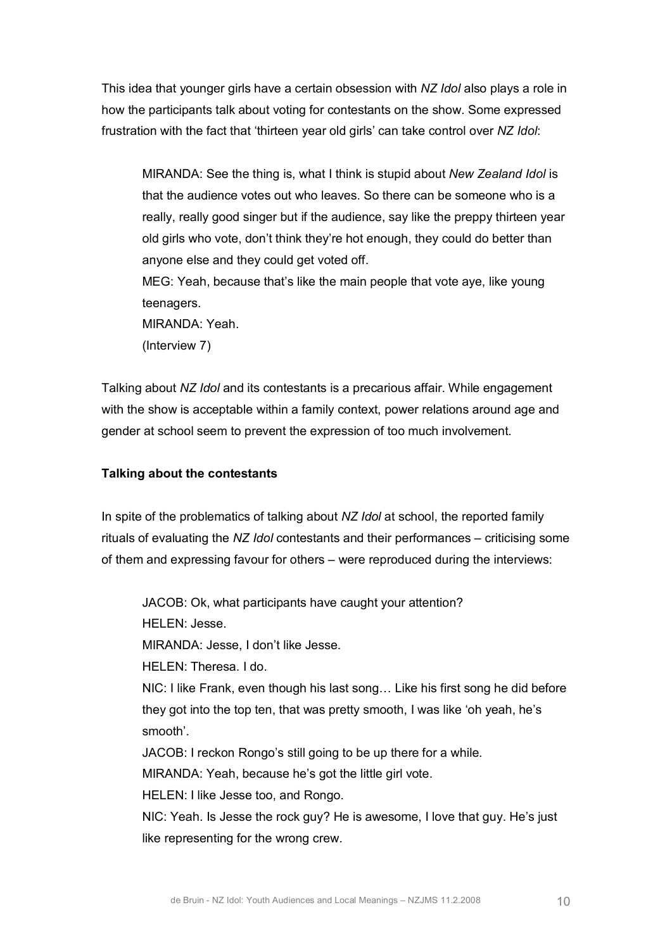This idea that younger girls have a certain obsession with *NZ Idol* also plays a role in how the participants talk about voting for contestants on the show. Some expressed frustration with the fact that 'thirteen year old girls' can take control over *NZ Idol*:

MIRANDA: See the thing is, what I think is stupid about *New Zealand Idol* is that the audience votes out who leaves. So there can be someone who is a really, really good singer but if the audience, say like the preppy thirteen year old girls who vote, don't think they're hot enough, they could do better than anyone else and they could get voted off. MEG: Yeah, because that's like the main people that vote aye, like young teenagers.

MIRANDA: Yeah.

(Interview 7)

Talking about *NZ Idol* and its contestants is a precarious affair. While engagement with the show is acceptable within a family context, power relations around age and gender at school seem to prevent the expression of too much involvement.

## **Talking about the contestants**

In spite of the problematics of talking about *NZ Idol* at school, the reported family rituals of evaluating the *NZ Idol* contestants and their performances – criticising some of them and expressing favour for others – were reproduced during the interviews:

JACOB: Ok, what participants have caught your attention?

HELEN: Jesse.

MIRANDA: Jesse, I don't like Jesse.

HELEN: Theresa. I do.

NIC: I like Frank, even though his last song… Like his first song he did before they got into the top ten, that was pretty smooth, I was like 'oh yeah, he's smooth'.

JACOB: I reckon Rongo's still going to be up there for a while.

MIRANDA: Yeah, because he's got the little girl vote.

HELEN: I like Jesse too, and Rongo.

NIC: Yeah. Is Jesse the rock guy? He is awesome, I love that guy. He's just like representing for the wrong crew.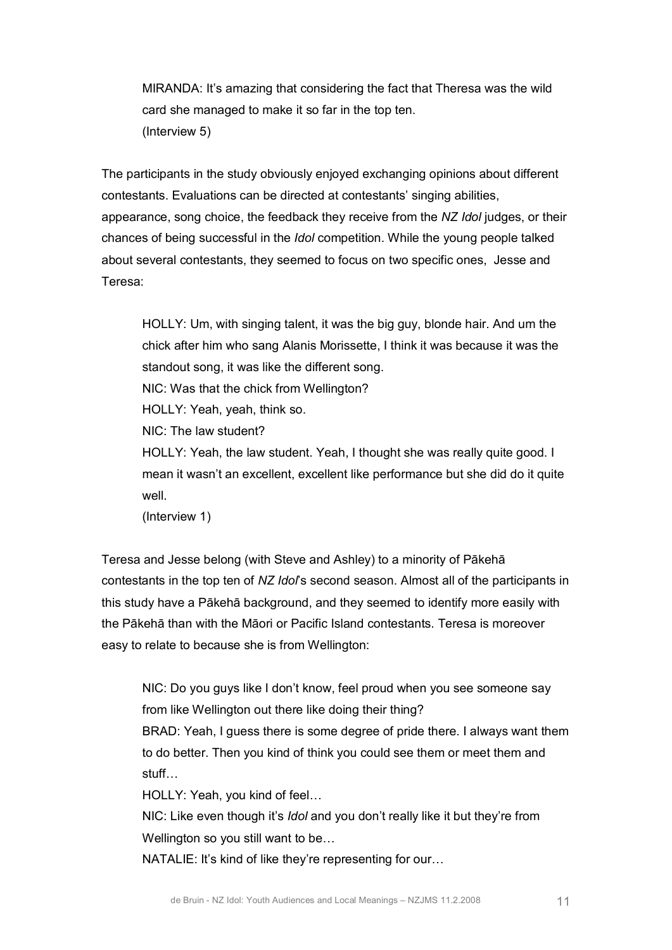MIRANDA: It's amazing that considering the fact that Theresa was the wild card she managed to make it so far in the top ten. (Interview 5)

The participants in the study obviously enjoyed exchanging opinions about different contestants. Evaluations can be directed at contestants' singing abilities, appearance, song choice, the feedback they receive from the *NZ Idol* judges, or their chances of being successful in the *Idol* competition. While the young people talked about several contestants, they seemed to focus on two specific ones, Jesse and Teresa:

HOLLY: Um, with singing talent, it was the big guy, blonde hair. And um the chick after him who sang Alanis Morissette, I think it was because it was the standout song, it was like the different song.

NIC: Was that the chick from Wellington?

HOLLY: Yeah, yeah, think so.

NIC: The law student?

HOLLY: Yeah, the law student. Yeah, I thought she was really quite good. I mean it wasn't an excellent, excellent like performance but she did do it quite well.

(Interview 1)

Teresa and Jesse belong (with Steve and Ashley) to a minority of Pākehā contestants in the top ten of *NZ Idol*'s second season. Almost all of the participants in this study have a Pākehā background, and they seemed to identify more easily with the Pākehā than with the Māori or Pacific Island contestants. Teresa is moreover easy to relate to because she is from Wellington:

NIC: Do you guys like I don't know, feel proud when you see someone say from like Wellington out there like doing their thing?

BRAD: Yeah, I guess there is some degree of pride there. I always want them to do better. Then you kind of think you could see them or meet them and stuff…

HOLLY: Yeah, you kind of feel…

NIC: Like even though it's *Idol* and you don't really like it but they're from Wellington so you still want to be…

NATALIE: It's kind of like they're representing for our…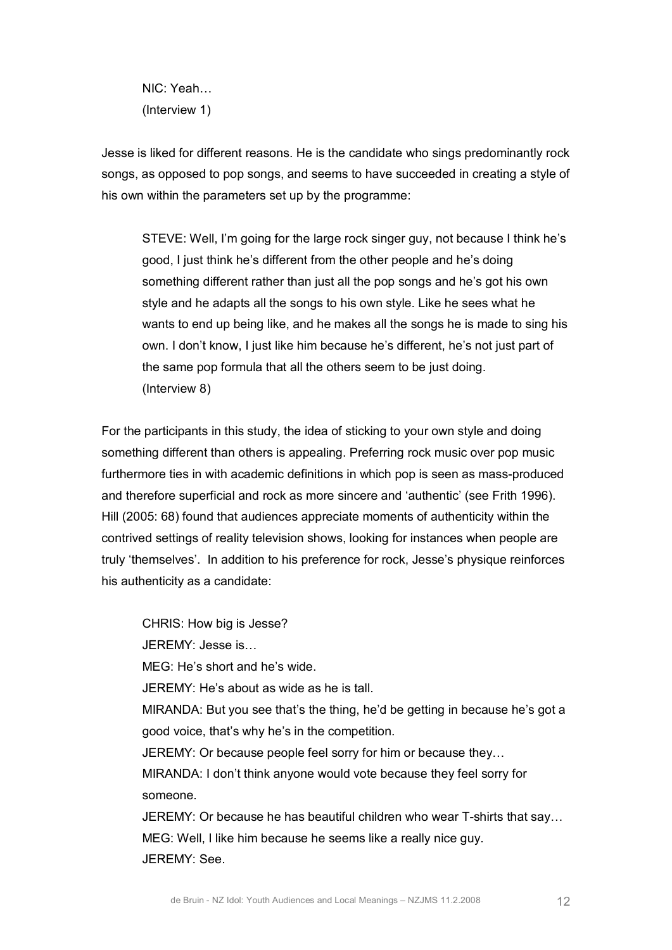NIC: Yeah… (Interview 1)

Jesse is liked for different reasons. He is the candidate who sings predominantly rock songs, as opposed to pop songs, and seems to have succeeded in creating a style of his own within the parameters set up by the programme:

STEVE: Well, I'm going for the large rock singer guy, not because I think he's good, I just think he's different from the other people and he's doing something different rather than just all the pop songs and he's got his own style and he adapts all the songs to his own style. Like he sees what he wants to end up being like, and he makes all the songs he is made to sing his own. I don't know, I just like him because he's different, he's not just part of the same pop formula that all the others seem to be just doing. (Interview 8)

For the participants in this study, the idea of sticking to your own style and doing something different than others is appealing. Preferring rock music over pop music furthermore ties in with academic definitions in which pop is seen as mass-produced and therefore superficial and rock as more sincere and 'authentic' (see Frith 1996). Hill (2005: 68) found that audiences appreciate moments of authenticity within the contrived settings of reality television shows, looking for instances when people are truly 'themselves'. In addition to his preference for rock, Jesse's physique reinforces his authenticity as a candidate:

CHRIS: How big is Jesse? JEREMY: Jesse is… MEG: He's short and he's wide. JEREMY: He's about as wide as he is tall. MIRANDA: But you see that's the thing, he'd be getting in because he's got a good voice, that's why he's in the competition. JEREMY: Or because people feel sorry for him or because they… MIRANDA: I don't think anyone would vote because they feel sorry for someone. JEREMY: Or because he has beautiful children who wear T-shirts that say... MEG: Well, I like him because he seems like a really nice guy.

JEREMY: See.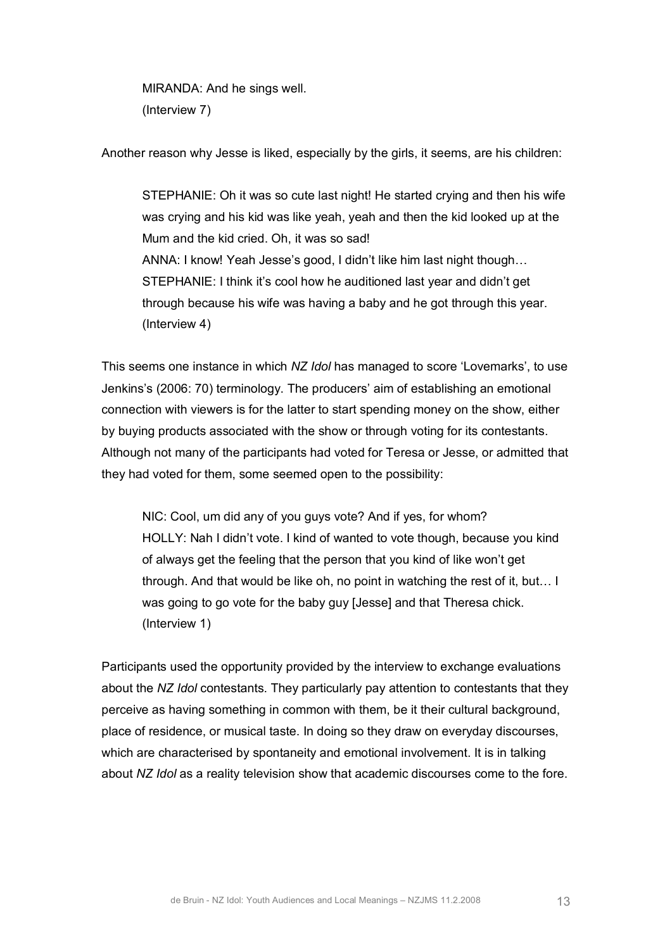MIRANDA: And he sings well. (Interview 7)

Another reason why Jesse is liked, especially by the girls, it seems, are his children:

STEPHANIE: Oh it was so cute last night! He started crying and then his wife was crying and his kid was like yeah, yeah and then the kid looked up at the Mum and the kid cried. Oh, it was so sad! ANNA: I know! Yeah Jesse's good, I didn't like him last night though… STEPHANIE: I think it's cool how he auditioned last year and didn't get through because his wife was having a baby and he got through this year. (Interview 4)

This seems one instance in which *NZ Idol* has managed to score 'Lovemarks', to use Jenkins's (2006: 70) terminology. The producers' aim of establishing an emotional connection with viewers is for the latter to start spending money on the show, either by buying products associated with the show or through voting for its contestants. Although not many of the participants had voted for Teresa or Jesse, or admitted that they had voted for them, some seemed open to the possibility:

NIC: Cool, um did any of you guys vote? And if yes, for whom? HOLLY: Nah I didn't vote. I kind of wanted to vote though, because you kind of always get the feeling that the person that you kind of like won't get through. And that would be like oh, no point in watching the rest of it, but… I was going to go vote for the baby guy [Jesse] and that Theresa chick. (Interview 1)

Participants used the opportunity provided by the interview to exchange evaluations about the *NZ Idol* contestants. They particularly pay attention to contestants that they perceive as having something in common with them, be it their cultural background, place of residence, or musical taste. In doing so they draw on everyday discourses, which are characterised by spontaneity and emotional involvement. It is in talking about *NZ Idol* as a reality television show that academic discourses come to the fore.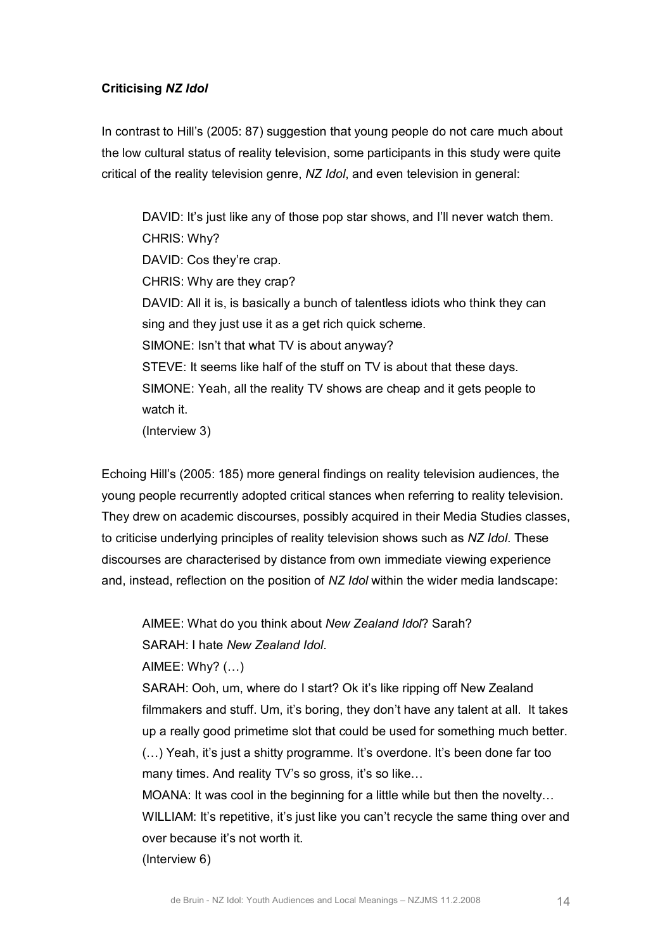## **Criticising** *NZ Idol*

In contrast to Hill's (2005: 87) suggestion that young people do not care much about the low cultural status of reality television, some participants in this study were quite critical of the reality television genre, *NZ Idol*, and even television in general:

DAVID: It's just like any of those pop star shows, and I'll never watch them. CHRIS: Why? DAVID: Cos they're crap. CHRIS: Why are they crap? DAVID: All it is, is basically a bunch of talentless idiots who think they can sing and they just use it as a get rich quick scheme. SIMONE: Isn't that what TV is about anyway? STEVE: It seems like half of the stuff on TV is about that these days. SIMONE: Yeah, all the reality TV shows are cheap and it gets people to watch it. (Interview 3)

Echoing Hill's (2005: 185) more general findings on reality television audiences, the young people recurrently adopted critical stances when referring to reality television. They drew on academic discourses, possibly acquired in their Media Studies classes, to criticise underlying principles of reality television shows such as *NZ Idol*. These discourses are characterised by distance from own immediate viewing experience and, instead, reflection on the position of *NZ Idol* within the wider media landscape:

AIMEE: What do you think about *New Zealand Idol*? Sarah?

SARAH: I hate *New Zealand Idol*.

AIMEE: Why? (…)

SARAH: Ooh, um, where do I start? Ok it's like ripping off New Zealand filmmakers and stuff. Um, it's boring, they don't have any talent at all. It takes up a really good primetime slot that could be used for something much better. (…) Yeah, it's just a shitty programme. It's overdone. It's been done far too many times. And reality TV's so gross, it's so like...

MOANA: It was cool in the beginning for a little while but then the novelty… WILLIAM: It's repetitive, it's just like you can't recycle the same thing over and over because it's not worth it.

(Interview 6)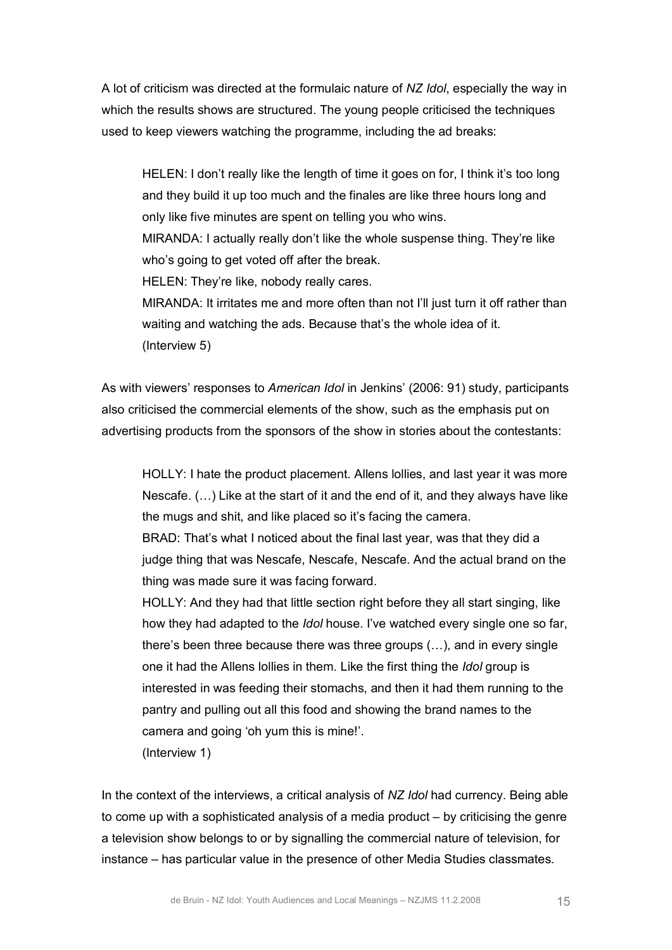A lot of criticism was directed at the formulaic nature of *NZ Idol*, especially the way in which the results shows are structured. The young people criticised the techniques used to keep viewers watching the programme, including the ad breaks:

HELEN: I don't really like the length of time it goes on for, I think it's too long and they build it up too much and the finales are like three hours long and only like five minutes are spent on telling you who wins. MIRANDA: I actually really don't like the whole suspense thing. They're like who's going to get voted off after the break. HELEN: They're like, nobody really cares. MIRANDA: It irritates me and more often than not I'll just turn it off rather than waiting and watching the ads. Because that's the whole idea of it. (Interview 5)

As with viewers' responses to *American Idol* in Jenkins' (2006: 91) study, participants also criticised the commercial elements of the show, such as the emphasis put on advertising products from the sponsors of the show in stories about the contestants:

HOLLY: I hate the product placement. Allens lollies, and last year it was more Nescafe. (…) Like at the start of it and the end of it, and they always have like the mugs and shit, and like placed so it's facing the camera.

BRAD: That's what I noticed about the final last year, was that they did a judge thing that was Nescafe, Nescafe, Nescafe. And the actual brand on the thing was made sure it was facing forward.

HOLLY: And they had that little section right before they all start singing, like how they had adapted to the *Idol* house. I've watched every single one so far, there's been three because there was three groups (…), and in every single one it had the Allens lollies in them. Like the first thing the *Idol* group is interested in was feeding their stomachs, and then it had them running to the pantry and pulling out all this food and showing the brand names to the camera and going 'oh yum this is mine!'.

(Interview 1)

In the context of the interviews, a critical analysis of *NZ Idol* had currency. Being able to come up with a sophisticated analysis of a media product – by criticising the genre a television show belongs to or by signalling the commercial nature of television, for instance – has particular value in the presence of other Media Studies classmates.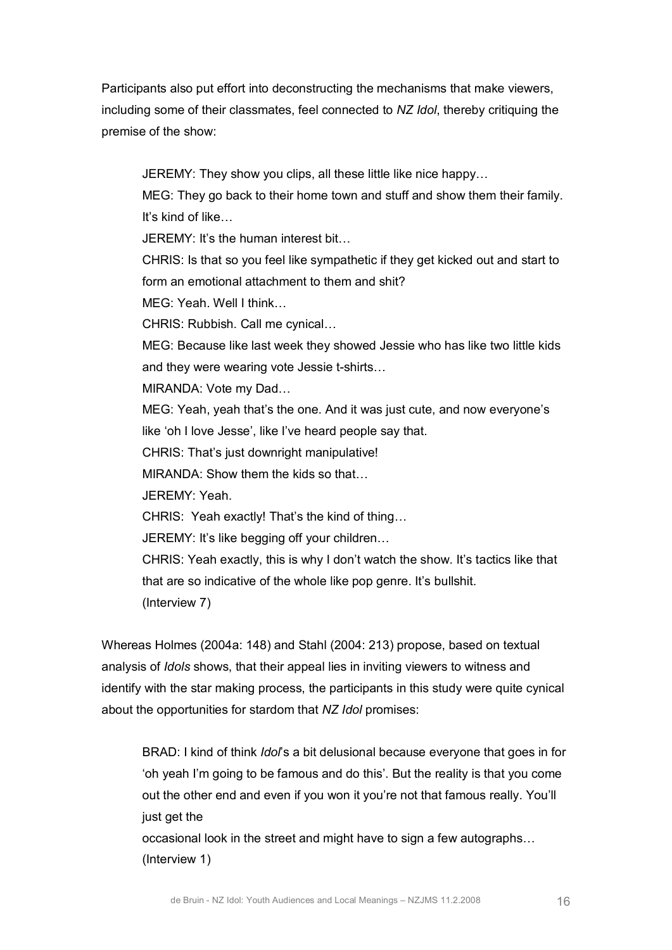Participants also put effort into deconstructing the mechanisms that make viewers, including some of their classmates, feel connected to *NZ Idol*, thereby critiquing the premise of the show:

JEREMY: They show you clips, all these little like nice happy… MEG: They go back to their home town and stuff and show them their family. It's kind of like…  $JFRFMY:$  It's the human interest bit CHRIS: Is that so you feel like sympathetic if they get kicked out and start to form an emotional attachment to them and shit? MEG: Yeah. Well I think… CHRIS: Rubbish. Call me cynical… MEG: Because like last week they showed Jessie who has like two little kids and they were wearing vote Jessie t-shirts... MIRANDA: Vote my Dad… MEG: Yeah, yeah that's the one. And it was just cute, and now everyone's like 'oh I love Jesse', like I've heard people say that. CHRIS: That's just downright manipulative! MIRANDA: Show them the kids so that… JEREMY: Yeah. CHRIS: Yeah exactly! That's the kind of thing… JEREMY: It's like begging off your children… CHRIS: Yeah exactly, this is why I don't watch the show. It's tactics like that that are so indicative of the whole like pop genre. It's bullshit. (Interview 7)

Whereas Holmes (2004a: 148) and Stahl (2004: 213) propose, based on textual analysis of *Idols* shows, that their appeal lies in inviting viewers to witness and identify with the star making process, the participants in this study were quite cynical about the opportunities for stardom that *NZ Idol* promises:

BRAD: I kind of think *Idol*'s a bit delusional because everyone that goes in for 'oh yeah I'm going to be famous and do this'. But the reality is that you come out the other end and even if you won it you're not that famous really. You'll just get the

occasional look in the street and might have to sign a few autographs… (Interview 1)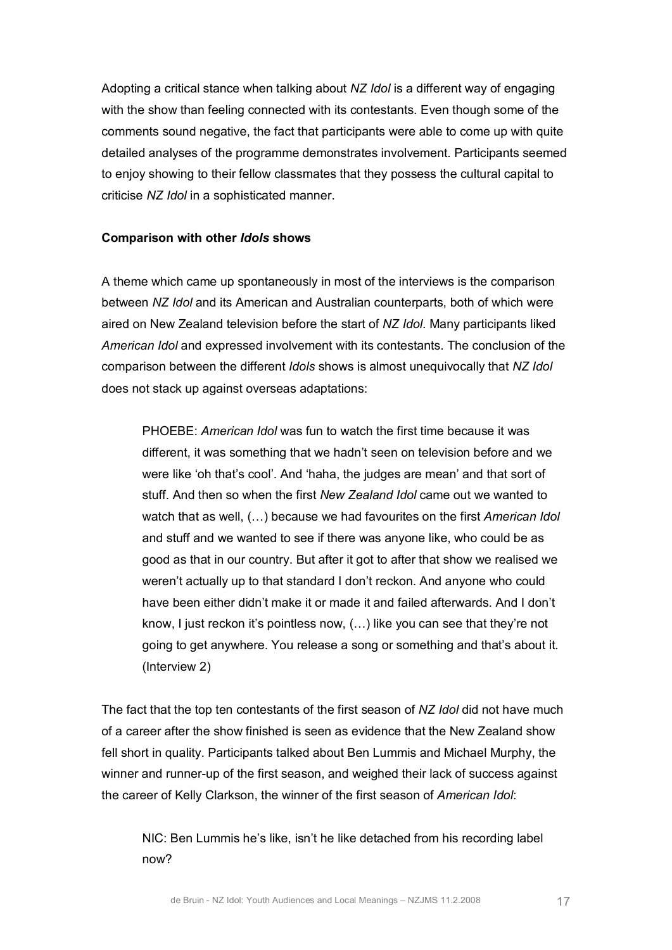Adopting a critical stance when talking about *NZ Idol* is a different way of engaging with the show than feeling connected with its contestants. Even though some of the comments sound negative, the fact that participants were able to come up with quite detailed analyses of the programme demonstrates involvement. Participants seemed to enjoy showing to their fellow classmates that they possess the cultural capital to criticise *NZ Idol* in a sophisticated manner.

#### **Comparison with other** *Idols* **shows**

A theme which came up spontaneously in most of the interviews is the comparison between *NZ Idol* and its American and Australian counterparts, both of which were aired on New Zealand television before the start of *NZ Idol*. Many participants liked *American Idol* and expressed involvement with its contestants. The conclusion of the comparison between the different *Idols* shows is almost unequivocally that *NZ Idol* does not stack up against overseas adaptations:

PHOEBE: *American Idol* was fun to watch the first time because it was different, it was something that we hadn't seen on television before and we were like 'oh that's cool'. And 'haha, the judges are mean' and that sort of stuff. And then so when the first *New Zealand Idol* came out we wanted to watch that as well, (…) because we had favourites on the first *American Idol* and stuff and we wanted to see if there was anyone like, who could be as good as that in our country. But after it got to after that show we realised we weren't actually up to that standard I don't reckon. And anyone who could have been either didn't make it or made it and failed afterwards. And I don't know, I just reckon it's pointless now, (…) like you can see that they're not going to get anywhere. You release a song or something and that's about it. (Interview 2)

The fact that the top ten contestants of the first season of *NZ Idol* did not have much of a career after the show finished is seen as evidence that the New Zealand show fell short in quality. Participants talked about Ben Lummis and Michael Murphy, the winner and runner-up of the first season, and weighed their lack of success against the career of Kelly Clarkson, the winner of the first season of *American Idol*:

NIC: Ben Lummis he's like, isn't he like detached from his recording label now?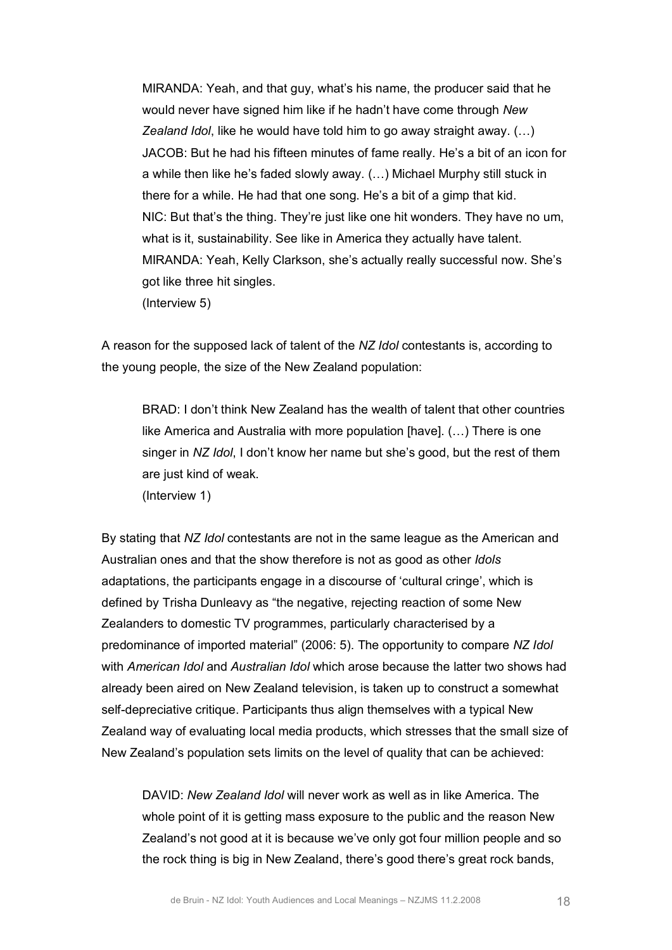MIRANDA: Yeah, and that guy, what's his name, the producer said that he would never have signed him like if he hadn't have come through *New Zealand Idol*, like he would have told him to go away straight away. (…) JACOB: But he had his fifteen minutes of fame really. He's a bit of an icon for a while then like he's faded slowly away. (…) Michael Murphy still stuck in there for a while. He had that one song. He's a bit of a gimp that kid. NIC: But that's the thing. They're just like one hit wonders. They have no um, what is it, sustainability. See like in America they actually have talent. MIRANDA: Yeah, Kelly Clarkson, she's actually really successful now. She's got like three hit singles. (Interview 5)

A reason for the supposed lack of talent of the *NZ Idol* contestants is, according to the young people, the size of the New Zealand population:

BRAD: I don't think New Zealand has the wealth of talent that other countries like America and Australia with more population [have]. (…) There is one singer in *NZ Idol*, I don't know her name but she's good, but the rest of them are just kind of weak.

(Interview 1)

By stating that *NZ Idol* contestants are not in the same league as the American and Australian ones and that the show therefore is not as good as other *Idols* adaptations, the participants engage in a discourse of 'cultural cringe', which is defined by Trisha Dunleavy as "the negative, rejecting reaction of some New Zealanders to domestic TV programmes, particularly characterised by a predominance of imported material" (2006: 5). The opportunity to compare *NZ Idol* with *American Idol* and *Australian Idol* which arose because the latter two shows had already been aired on New Zealand television, is taken up to construct a somewhat self-depreciative critique. Participants thus align themselves with a typical New Zealand way of evaluating local media products, which stresses that the small size of New Zealand's population sets limits on the level of quality that can be achieved:

DAVID: *New Zealand Idol* will never work as well as in like America. The whole point of it is getting mass exposure to the public and the reason New Zealand's not good at it is because we've only got four million people and so the rock thing is big in New Zealand, there's good there's great rock bands,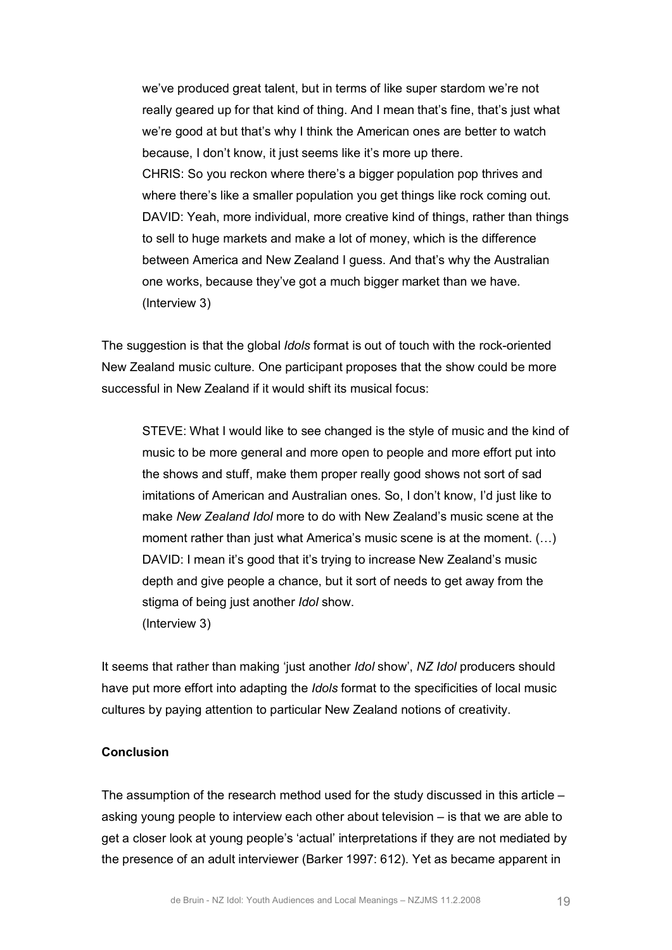we've produced great talent, but in terms of like super stardom we're not really geared up for that kind of thing. And I mean that's fine, that's just what we're good at but that's why I think the American ones are better to watch because, I don't know, it just seems like it's more up there. CHRIS: So you reckon where there's a bigger population pop thrives and where there's like a smaller population you get things like rock coming out. DAVID: Yeah, more individual, more creative kind of things, rather than things to sell to huge markets and make a lot of money, which is the difference between America and New Zealand I guess. And that's why the Australian one works, because they've got a much bigger market than we have. (Interview 3)

The suggestion is that the global *Idols* format is out of touch with the rock-oriented New Zealand music culture. One participant proposes that the show could be more successful in New Zealand if it would shift its musical focus:

STEVE: What I would like to see changed is the style of music and the kind of music to be more general and more open to people and more effort put into the shows and stuff, make them proper really good shows not sort of sad imitations of American and Australian ones. So, I don't know, I'd just like to make *New Zealand Idol* more to do with New Zealand's music scene at the moment rather than just what America's music scene is at the moment. (…) DAVID: I mean it's good that it's trying to increase New Zealand's music depth and give people a chance, but it sort of needs to get away from the stigma of being just another *Idol* show. (Interview 3)

It seems that rather than making 'just another *Idol* show', *NZ Idol* producers should have put more effort into adapting the *Idols* format to the specificities of local music cultures by paying attention to particular New Zealand notions of creativity.

# **Conclusion**

The assumption of the research method used for the study discussed in this article – asking young people to interview each other about television – is that we are able to get a closer look at young people's 'actual' interpretations if they are not mediated by the presence of an adult interviewer (Barker 1997: 612). Yet as became apparent in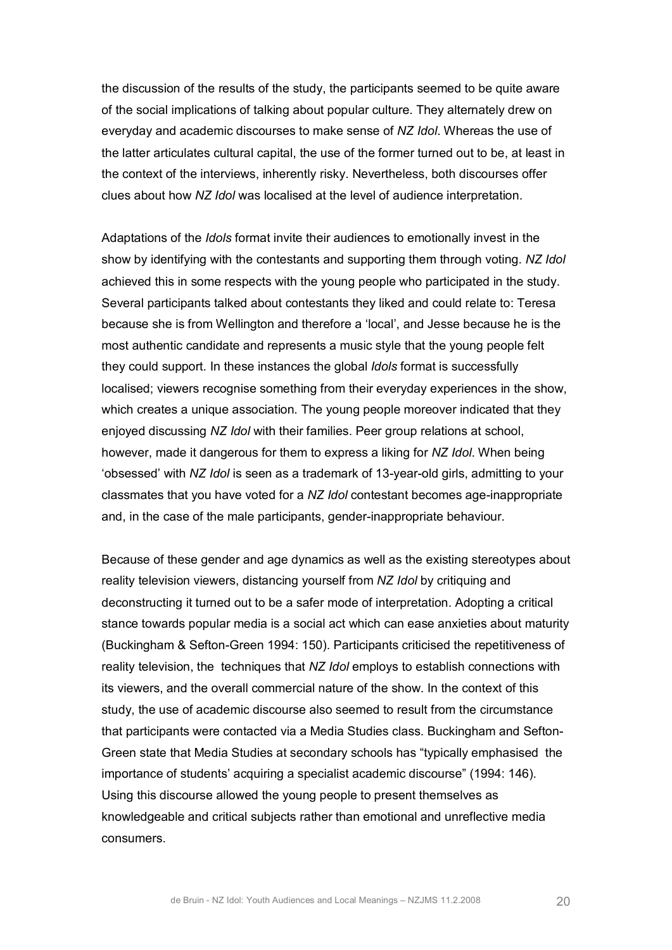the discussion of the results of the study, the participants seemed to be quite aware of the social implications of talking about popular culture. They alternately drew on everyday and academic discourses to make sense of *NZ Idol*. Whereas the use of the latter articulates cultural capital, the use of the former turned out to be, at least in the context of the interviews, inherently risky. Nevertheless, both discourses offer clues about how *NZ Idol* was localised at the level of audience interpretation.

Adaptations of the *Idols* format invite their audiences to emotionally invest in the show by identifying with the contestants and supporting them through voting. *NZ Idol* achieved this in some respects with the young people who participated in the study. Several participants talked about contestants they liked and could relate to: Teresa because she is from Wellington and therefore a 'local', and Jesse because he is the most authentic candidate and represents a music style that the young people felt they could support. In these instances the global *Idols* format is successfully localised; viewers recognise something from their everyday experiences in the show, which creates a unique association. The young people moreover indicated that they enjoyed discussing *NZ Idol* with their families. Peer group relations at school, however, made it dangerous for them to express a liking for *NZ Idol*. When being 'obsessed' with *NZ Idol* is seen as a trademark of 13-year-old girls, admitting to your classmates that you have voted for a NZ Idol contestant becomes age-inappropriate and, in the case of the male participants, gender-inappropriate behaviour.

Because of these gender and age dynamics as well as the existing stereotypes about reality television viewers, distancing yourself from *NZ Idol* by critiquing and deconstructing it turned out to be a safer mode of interpretation. Adopting a critical stance towards popular media is a social act which can ease anxieties about maturity (Buckingham & Sefton-Green 1994: 150). Participants criticised the repetitiveness of reality television, the techniques that *NZ Idol* employs to establish connections with its viewers, and the overall commercial nature of the show. In the context of this study, the use of academic discourse also seemed to result from the circumstance that participants were contacted via a Media Studies class. Buckingham and Sefton Green state that Media Studies at secondary schools has "typically emphasised the importance of students' acquiring a specialist academic discourse" (1994: 146). Using this discourse allowed the young people to present themselves as knowledgeable and critical subjects rather than emotional and unreflective media consumers.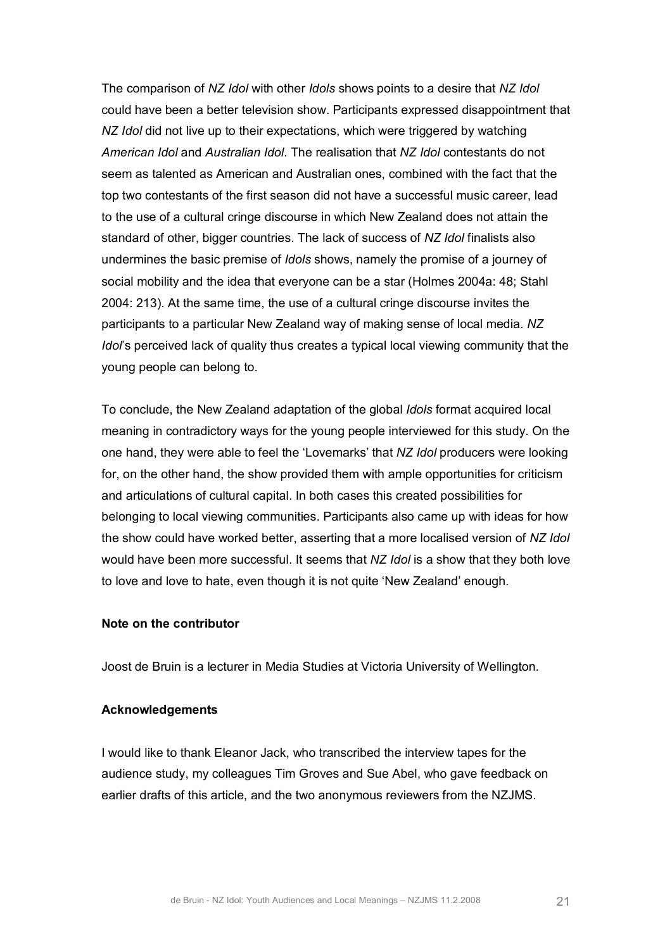The comparison of *NZ Idol* with other *Idols* shows points to a desire that *NZ Idol* could have been a better television show. Participants expressed disappointment that *NZ Idol* did not live up to their expectations, which were triggered by watching *American Idol* and *Australian Idol*. The realisation that *NZ Idol* contestants do not seem as talented as American and Australian ones, combined with the fact that the top two contestants of the first season did not have a successful music career, lead to the use of a cultural cringe discourse in which New Zealand does not attain the standard of other, bigger countries. The lack of success of *NZ Idol* finalists also undermines the basic premise of *Idols* shows, namely the promise of a journey of social mobility and the idea that everyone can be a star (Holmes 2004a: 48; Stahl 2004: 213). At the same time, the use of a cultural cringe discourse invites the participants to a particular New Zealand way of making sense of local media. *NZ Idol*'s perceived lack of quality thus creates a typical local viewing community that the young people can belong to.

To conclude, the New Zealand adaptation of the global *Idols* format acquired local meaning in contradictory ways for the young people interviewed for this study. On the one hand, they were able to feel the 'Lovemarks' that *NZ Idol* producers were looking for, on the other hand, the show provided them with ample opportunities for criticism and articulations of cultural capital. In both cases this created possibilities for belonging to local viewing communities. Participants also came up with ideas for how the show could have worked better, asserting that a more localised version of *NZ Idol* would have been more successful. It seems that *NZ Idol* is a show that they both love to love and love to hate, even though it is not quite 'New Zealand' enough.

## **Note on the contributor**

Joost de Bruin is a lecturer in Media Studies at Victoria University of Wellington.

#### **Acknowledgements**

I would like to thank Eleanor Jack, who transcribed the interview tapes for the audience study, my colleagues Tim Groves and Sue Abel, who gave feedback on earlier drafts of this article, and the two anonymous reviewers from the NZJMS.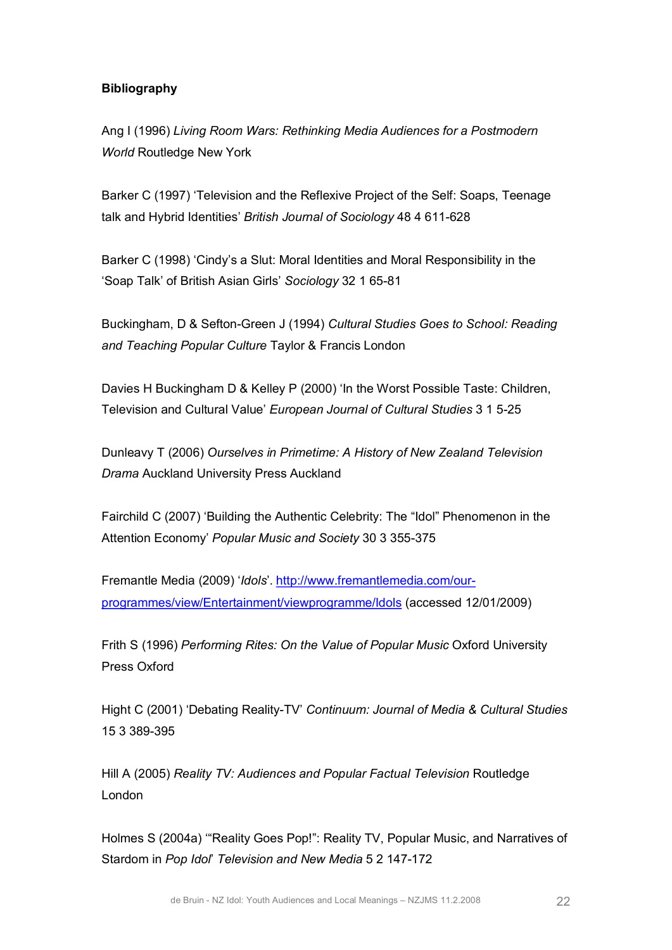# **Bibliography**

Ang I (1996) *Living Room Wars: Rethinking Media Audiences for a Postmodern World* Routledge New York

Barker C (1997) 'Television and the Reflexive Project of the Self: Soaps, Teenage talk and Hybrid Identities' *British Journal of Sociology* 48 4 611-628

Barker C (1998) 'Cindy's a Slut: Moral Identities and Moral Responsibility in the 'Soap Talk' of British Asian Girls' Sociology 32 1 65-81

Buckingham, D & Sefton-Green J (1994) Cultural Studies Goes to School: Reading *and Teaching Popular Culture* Taylor & Francis London

Davies H Buckingham D & Kelley P (2000) 'In the Worst Possible Taste: Children, Television and Cultural Value' *European Journal of Cultural Studies* 3 1 525

Dunleavy T (2006) *Ourselves in Primetime: A History of New Zealand Television Drama* Auckland University Press Auckland

Fairchild C (2007) 'Building the Authentic Celebrity: The "Idol" Phenomenon in the Attention Economy' Popular Music and Society 30 3 355-375

Fremantle Media (2009) '*Idols*'. http://www.fremantlemedia.com/our[programmes/view/Entertainment/viewprogramme/Idols \(accessed 12](http://www.fremantlemedia.com/our-programmes/view/Entertainment/viewprogramme/Idols)/01/2009)

Frith S (1996) *Performing Rites: On the Value of Popular Music* Oxford University Press Oxford

Hight C (2001) 'Debating Reality-TV' Continuum: Journal of Media & Cultural Studies 15 3 389-395

Hill A (2005) *Reality TV: Audiences and Popular Factual Television* Routledge London

Holmes S (2004a) '"Reality Goes Pop!": Reality TV, Popular Music, and Narratives of Stardom in *Pop Idol*' *Television and New Media* 5 2 147172